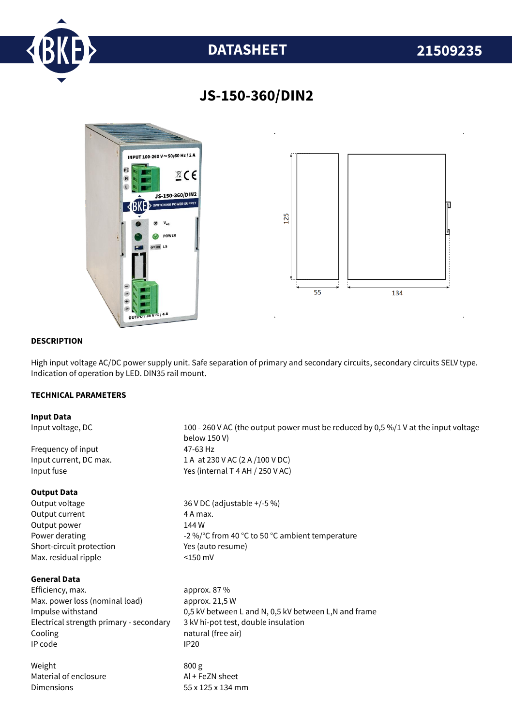

# **DATASHEET 21509235**



## **JS-150-360/DIN2**

#### **DESCRIPTION**

High input voltage AC/DC power supply unit. Safe separation of primary and secondary circuits, secondary circuits SELV type. Indication of operation by LED. DIN35 rail mount.

### **TECHNICAL PARAMETERS**

#### **Input Data**

Input voltage, DC 100 - 260 V AC (the output power must be reduced by 0,5 %/1 V at the input voltage below 150 V) Frequency of input 47-63 Hz Input current, DC max. 1 A at 230 V AC (2 A /100 V DC) Input fuse  $Y$ es (internal T 4 AH / 250 V AC) **Output Data** Output voltage 36 V DC (adjustable +/-5 %) Output current 4 A max. Output power 144 W Power derating  $-2\%$  °C from 40 °C to 50 °C ambient temperature Short-circuit protection Yes (auto resume) Max. residual ripple <150 mV **General Data** Efficiency. max. approx. 87 % Max. power loss (nominal load) approx. 21,5 W Impulse withstand 0,5 kV between L and N, 0,5 kV between L,N and frame Electrical strength primary - secondary 3 kV hi-pot test, double insulation Cooling **natural** (free air) IP code IP20 Weight 800 g Material of enclosure Al + FeZN sheet Dimensions 55 x 125 x 134 mm